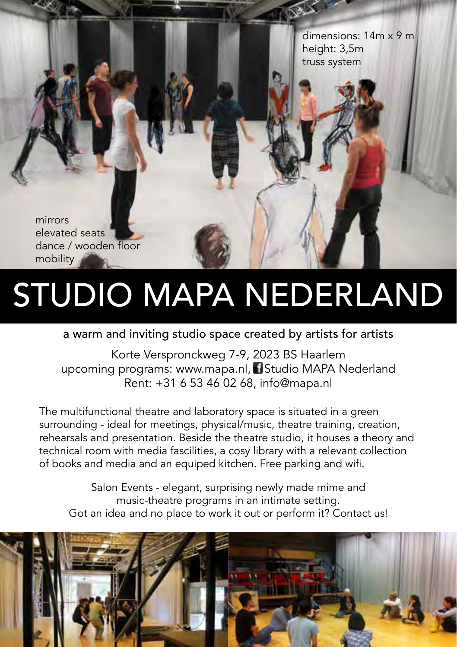dimensions: 14m x 9 m height: 3,5m truss system

mirrors elevated seats dance / wooden floor mobility

# STUDIO MAPA NEDERLAND

### a warm and inviting studio space created by artists for artists

Korte Verspronckweg 7-9, 2023 BS Haarlem upcoming programs: www.mapa.nl, Studio MAPA Nederland Rent: +31 6 53 46 02 68, info@mapa.nl

The multifunctional theatre and laboratory space is situated in a green surrounding - ideal for meetings, physical/music, theatre training, creation, rehearsals and presentation. Beside the theatre studio, it houses a theory and technical room with media fascilities, a cosy library with a relevant collection of books and media and an equiped kitchen. Free parking and wifi.

Salon Events - elegant, surprising newly made mime and music-theatre programs in an intimate setting. Got an idea and no place to work it out or perform it? Contact us!